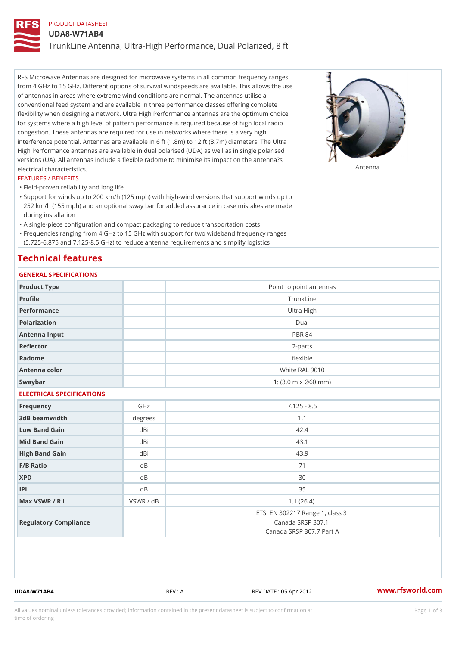## PRODUCT DATASHEET

UDA8-W71AB4

TrunkLine Antenna, Ultra-High Performance, Dual Polarized, 8 ft

RFS Microwave Antennas are designed for microwave systems in all common frequency ranges from 4 GHz to 15 GHz. Different options of survival windspeeds are available. This allows the use of antennas in areas where extreme wind conditions are normal. The antennas utilise a conventional feed system and are available in three performance classes offering complete flexibility when designing a network. Ultra High Performance antennas are the optimum choice for systems where a high level of pattern performance is required because of high local radio congestion. These antennas are required for use in networks where there is a very high interference potential. Antennas are available in 6 ft (1.8m) to 12 ft (3.7m) diameters. The Ultra High Performance antennas are available in dual polarised (UDA) as well as in single polarised versions (UA). All antennas include a flexible radome to minimise its impact on the antenna?s electrical characteristics. Antenna

#### FEATURES / BENEFITS

"Field-proven reliability and long life

- Support for winds up to 200 km/h (125 mph) with high-wind versions that support winds up to " 252 km/h (155 mph) and an optional sway bar for added assurance in case mistakes are made during installation
- "A single-piece configuration and compact packaging to reduce transportation costs
- Frequencies ranging from 4 GHz to 15 GHz with support for two wideband frequency ranges "
- (5.725-6.875 and 7.125-8.5 GHz) to reduce antenna requirements and simplify logistics

### Technical features

## GENERAL SPECIFICATIONS

| GENERAL SPECIFICATIONS    |                |                                                                                  |  |  |  |
|---------------------------|----------------|----------------------------------------------------------------------------------|--|--|--|
| Product Type              |                | Point to point antennas                                                          |  |  |  |
| Profile                   |                | TrunkLine                                                                        |  |  |  |
| Performance               |                | Ultra High                                                                       |  |  |  |
| Polarization              |                | $D$ ual                                                                          |  |  |  |
| Antenna Input             |                | <b>PBR 84</b>                                                                    |  |  |  |
| Reflector                 |                | $2 - p$ arts                                                                     |  |  |  |
| Radome                    |                | flexible                                                                         |  |  |  |
| Antenna color             |                | White RAL 9010                                                                   |  |  |  |
| Swaybar                   |                | 1: $(3.0 \, \text{m} \times \emptyset 60 \, \text{mm})$                          |  |  |  |
| ELECTRICAL SPECIFICATIONS |                |                                                                                  |  |  |  |
| Frequency                 | GHz            | $7.125 - 8.5$                                                                    |  |  |  |
| 3dB beamwidth             | degree:        | 1.1                                                                              |  |  |  |
| Low Band Gain             | dBi            | 42.4                                                                             |  |  |  |
| Mid Band Gain             | dBi            | 43.1                                                                             |  |  |  |
| High Band Gain            | dBi            | 43.9                                                                             |  |  |  |
| $F/B$ Ratio               | d B            | 71                                                                               |  |  |  |
| <b>XPD</b>                | d <sub>B</sub> | 30                                                                               |  |  |  |
| P                         | d B            | 35                                                                               |  |  |  |
| Max VSWR / R L            | VSWR / dB      | 1.1(26.4)                                                                        |  |  |  |
| Regulatory Compliance     |                | ETSI EN 302217 Range 1, class 3<br>Canada SRSP 307.1<br>Canada SRSP 307.7 Part A |  |  |  |

UDA8-W71AB4 REV : A REV DATE : 05 Apr 2012 [www.](https://www.rfsworld.com)rfsworld.com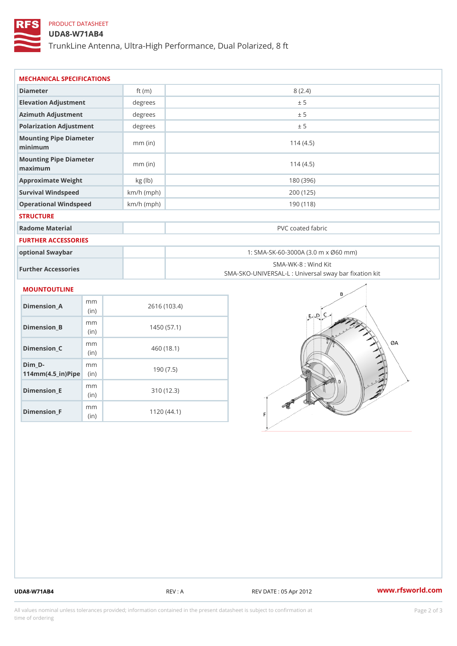## PRODUCT DATASHEET

### UDA8-W71AB4

TrunkLine Antenna, Ultra-High Performance, Dual Polarized, 8 ft

| MECHANICAL SPECIFICATIONS                       |              |                                                                          |  |
|-------------------------------------------------|--------------|--------------------------------------------------------------------------|--|
| Diameter                                        | ft $(m)$     | 8(2.4)                                                                   |  |
| Elevation Adjustment                            | degrees      | ± 5                                                                      |  |
| Azimuth Adjustment                              | degrees      | ± 5                                                                      |  |
| Polarization Adjustment                         | degrees      | ± 5                                                                      |  |
| Mounting Pipe Diameter<br>minimum               | $mm$ (in)    | 114(4.5)                                                                 |  |
| Mounting Pipe Diameter<br>maximum               | $mm$ (in)    | 114(4.5)                                                                 |  |
| Approximate Weight                              | kg (lb)      | 180 (396)                                                                |  |
| Survival Windspeed                              | $km/h$ (mph) | 200 (125)                                                                |  |
| Operational Windspeed                           | $km/h$ (mph) | 190(118)                                                                 |  |
| <b>STRUCTURE</b>                                |              |                                                                          |  |
| Radome Material                                 |              | PVC coated fabric                                                        |  |
| <b>FURTHER ACCESSORIES</b>                      |              |                                                                          |  |
| optional Swaybar                                |              | 1: SMA-SK-60-3000A (3.0 m x Ø60 mm)                                      |  |
| Further Accessories                             |              | SMA-WK-8 : Wind Kit<br>SMA-SKO-UNIVERSAL-L : Universal sway bar fixation |  |
| MOUNTOUTLINE                                    |              |                                                                          |  |
| m m<br>Dimension_A<br>(in)                      |              | 2616 (103.4)                                                             |  |
| m m<br>$Dimension_B$<br>(in)                    |              | 1450(57.1)                                                               |  |
| m m<br>$Dimension_C$<br>(in)                    |              | 460 (18.1)                                                               |  |
| $Dim_D - D -$<br>m m<br>$114mm(4.5_{ir})$ $Rip$ |              | 190(7.5)                                                                 |  |
| m m<br><b>Britain and Contract Contract</b>     |              | 0.401400                                                                 |  |

Dimension\_E

Dimension\_F

(in)

m<sub>m</sub> (in)

310 (12.3)

1120 (44.1)

UDA8-W71AB4 REV : A REV DATE : 05 Apr 2012 [www.](https://www.rfsworld.com)rfsworld.com